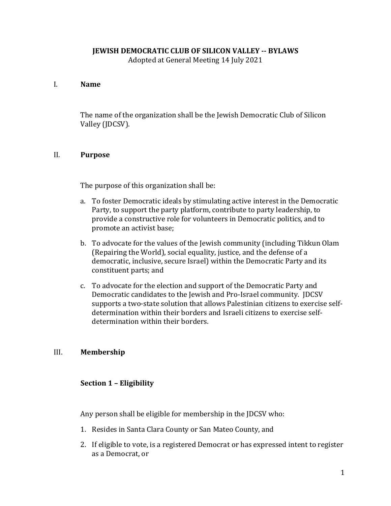# **JEWISH DEMOCRATIC CLUB OF SILICON VALLEY -- BYLAWS**

Adopted at General Meeting 14 July 2021

# I. **Name**

The name of the organization shall be the Jewish Democratic Club of Silicon Valley (JDCSV).

# II. **Purpose**

The purpose of this organization shall be:

- a. To foster Democratic ideals by stimulating active interest in the Democratic Party, to support the party platform, contribute to party leadership, to provide a constructive role for volunteers in Democratic politics, and to promote an activist base;
- b. To advocate for the values of the Jewish community (including Tikkun Olam (Repairing the World), social equality, justice, and the defense of a democratic, inclusive, secure Israel) within the Democratic Party and its constituent parts; and
- c. To advocate for the election and support of the Democratic Party and Democratic candidates to the Jewish and Pro-Israel community. JDCSV supports a two-state solution that allows Palestinian citizens to exercise selfdetermination within their borders and Israeli citizens to exercise selfdetermination within their borders.

# III. **Membership**

# **Section 1 – Eligibility**

Any person shall be eligible for membership in the JDCSV who:

- 1. Resides in Santa Clara County or San Mateo County, and
- 2. If eligible to vote, is a registered Democrat or has expressed intent to register as a Democrat, or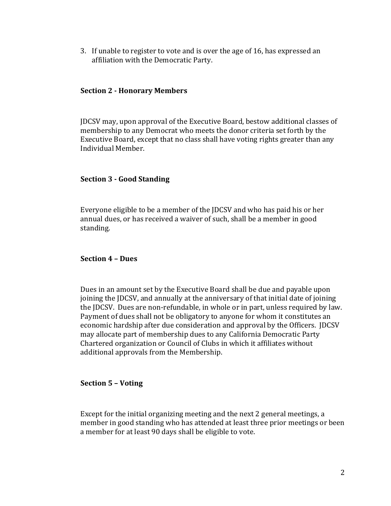3. If unable to register to vote and is over the age of 16, has expressed an affiliation with the Democratic Party.

## **Section 2 - Honorary Members**

JDCSV may, upon approval of the Executive Board, bestow additional classes of membership to any Democrat who meets the donor criteria set forth by the Executive Board, except that no class shall have voting rights greater than any Individual Member.

### **Section 3 - Good Standing**

Everyone eligible to be a member of the JDCSV and who has paid his or her annual dues, or has received a waiver of such, shall be a member in good standing.

#### **Section 4 – Dues**

Dues in an amount set by the Executive Board shall be due and payable upon joining the JDCSV, and annually at the anniversary of that initial date of joining the JDCSV. Dues are non-refundable, in whole or in part, unless required by law. Payment of dues shall not be obligatory to anyone for whom it constitutes an economic hardship after due consideration and approval by the Officers. JDCSV may allocate part of membership dues to any California Democratic Party Chartered organization or Council of Clubs in which it affiliates without additional approvals from the Membership.

## **Section 5 – Voting**

Except for the initial organizing meeting and the next 2 general meetings, a member in good standing who has attended at least three prior meetings or been a member for at least 90 days shall be eligible to vote.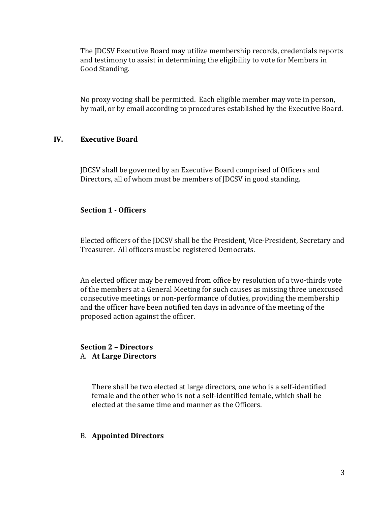The JDCSV Executive Board may utilize membership records, credentials reports and testimony to assist in determining the eligibility to vote for Members in Good Standing.

No proxy voting shall be permitted. Each eligible member may vote in person, by mail, or by email according to procedures established by the Executive Board.

## **IV. Executive Board**

JDCSV shall be governed by an Executive Board comprised of Officers and Directors, all of whom must be members of JDCSV in good standing.

# **Section 1 - Officers**

Elected officers of the JDCSV shall be the President, Vice-President, Secretary and Treasurer. All officers must be registered Democrats.

An elected officer may be removed from office by resolution of a two-thirds vote of the members at a General Meeting for such causes as missing three unexcused consecutive meetings or non-performance of duties, providing the membership and the officer have been notified ten days in advance of the meeting of the proposed action against the officer.

#### **Section 2 – Directors** A. **At Large Directors**

There shall be two elected at large directors, one who is a self-identified female and the other who is not a self-identified female, which shall be elected at the same time and manner as the Officers.

# B. **Appointed Directors**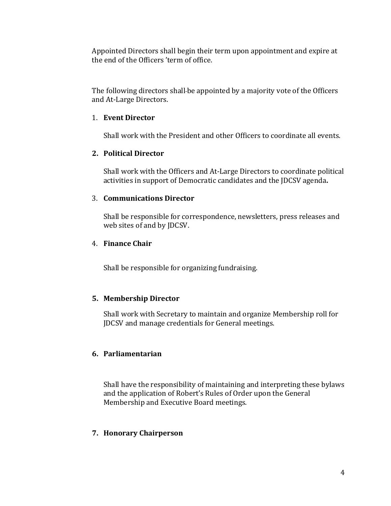Appointed Directors shall begin their term upon appointment and expire at the end of the Officers 'term of office.

The following directors shall be appointed by a majority vote of the Officers and At-Large Directors.

## 1. **Event Director**

Shall work with the President and other Officers to coordinate all events.

# **2. Political Director**

Shall work with the Officers and At-Large Directors to coordinate political activities in support of Democratic candidates and the JDCSV agenda**.**

# 3. **Communications Director**

Shall be responsible for correspondence, newsletters, press releases and web sites of and by JDCSV.

# 4. **Finance Chair**

Shall be responsible for organizing fundraising.

# **5. Membership Director**

Shall work with Secretary to maintain and organize Membership roll for JDCSV and manage credentials for General meetings.

# **6. Parliamentarian**

Shall have the responsibility of maintaining and interpreting these bylaws and the application of Robert's Rules of Order upon the General Membership and Executive Board meetings.

## **7. Honorary Chairperson**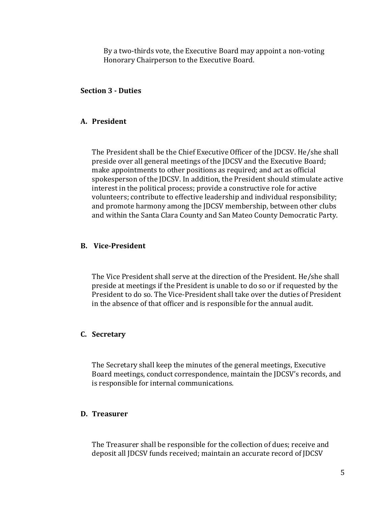By a two-thirds vote, the Executive Board may appoint a non-voting Honorary Chairperson to the Executive Board.

## **Section 3 - Duties**

#### **A. President**

The President shall be the Chief Executive Officer of the JDCSV. He/she shall preside over all general meetings of the JDCSV and the Executive Board; make appointments to other positions as required; and act as official spokesperson of the JDCSV. In addition, the President should stimulate active interest in the political process; provide a constructive role for active volunteers; contribute to effective leadership and individual responsibility; and promote harmony among the JDCSV membership, between other clubs and within the Santa Clara County and San Mateo County Democratic Party.

#### **B. Vice-President**

The Vice President shall serve at the direction of the President. He/she shall preside at meetings if the President is unable to do so or if requested by the President to do so. The Vice-President shall take over the duties of President in the absence of that officer and is responsible for the annual audit.

#### **C. Secretary**

The Secretary shall keep the minutes of the general meetings, Executive Board meetings, conduct correspondence, maintain the JDCSV's records, and is responsible for internal communications.

#### **D. Treasurer**

The Treasurer shall be responsible for the collection of dues; receive and deposit all JDCSV funds received; maintain an accurate record of JDCSV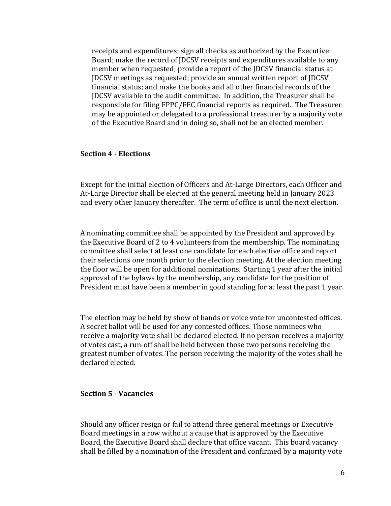receipts and expenditures; sign all checks as authorized by the Executive Board; make the record of JDCSV receipts and expenditures available to any member when requested; provide a report of the JDCSV financial status at JDCSV meetings as requested; provide an annual written report of JDCSV financial status; and make the books and all other financial records of the JDCSV available to the audit committee. In addition, the Treasurer shall be responsible for filing FPPC/FEC financial reports as required. The Treasurer may be appointed or delegated to a professional treasurer by a majority vote of the Executive Board and in doing so, shall not be an elected member.

#### **Section 4 - Elections**

Except for the initial election of Officers and At-Large Directors, each Officer and At-Large Director shall be elected at the general meeting held in January 2023 and every other January thereafter. The term of office is until the next election.

A nominating committee shall be appointed by the President and approved by the Executive Board of 2 to 4 volunteers from the membership. The nominating committee shall select at least one candidate for each elective office and report their selections one month prior to the election meeting. At the election meeting the floor will be open for additional nominations. Starting 1 year after the initial approval of the bylaws by the membership, any candidate for the position of President must have been a member in good standing for at least the past 1 year.

The election may be held by show of hands or voice vote for uncontested offices. A secret ballot will be used for any contested offices. Those nominees who receive a majority vote shall be declared elected. If no person receives a majority of votes cast, a run-off shall be held between those two persons receiving the greatest number of votes. The person receiving the majority of the votes shall be declared elected.

## **Section 5 - Vacancies**

Should any officer resign or fail to attend three general meetings or Executive Board meetings in a row without a cause that is approved by the Executive Board, the Executive Board shall declare that office vacant. This board vacancy shall be filled by a nomination of the President and confirmed by a majority vote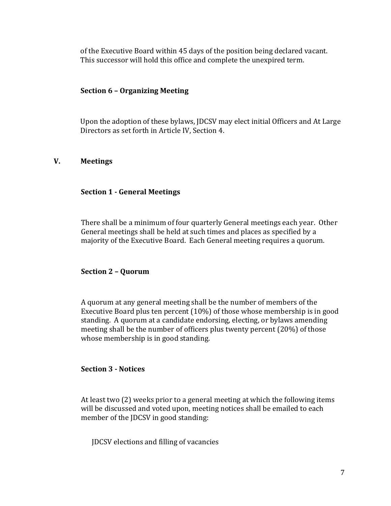of the Executive Board within 45 days of the position being declared vacant. This successor will hold this office and complete the unexpired term.

## **Section 6 – Organizing Meeting**

Upon the adoption of these bylaws, JDCSV may elect initial Officers and At Large Directors as set forth in Article IV, Section 4.

# **V. Meetings**

#### **Section 1 - General Meetings**

There shall be a minimum of four quarterly General meetings each year. Other General meetings shall be held at such times and places as specified by a majority of the Executive Board. Each General meeting requires a quorum.

#### **Section 2 – Quorum**

A quorum at any general meeting shall be the number of members of the Executive Board plus ten percent (10%) of those whose membership is in good standing. A quorum at a candidate endorsing, electing, or bylaws amending meeting shall be the number of officers plus twenty percent (20%) of those whose membership is in good standing.

## **Section 3 - Notices**

At least two (2) weeks prior to a general meeting at which the following items will be discussed and voted upon, meeting notices shall be emailed to each member of the JDCSV in good standing:

JDCSV elections and filling of vacancies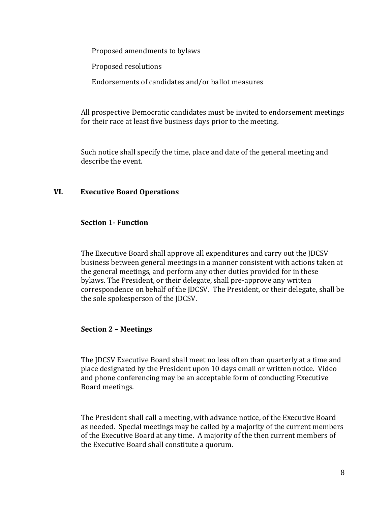Proposed amendments to bylaws

Proposed resolutions

Endorsements of candidates and/or ballot measures

All prospective Democratic candidates must be invited to endorsement meetings for their race at least five business days prior to the meeting. 

Such notice shall specify the time, place and date of the general meeting and describe the event.

## **VI. Executive Board Operations**

## **Section 1- Function**

The Executive Board shall approve all expenditures and carry out the JDCSV business between general meetings in a manner consistent with actions taken at the general meetings, and perform any other duties provided for in these bylaws. The President, or their delegate, shall pre-approve any written correspondence on behalf of the JDCSV. The President, or their delegate, shall be the sole spokesperson of the JDCSV.

## **Section 2 – Meetings**

The JDCSV Executive Board shall meet no less often than quarterly at a time and place designated by the President upon 10 days email or written notice. Video and phone conferencing may be an acceptable form of conducting Executive Board meetings.

The President shall call a meeting, with advance notice, of the Executive Board as needed. Special meetings may be called by a majority of the current members of the Executive Board at any time. A majority of the then current members of the Executive Board shall constitute a quorum.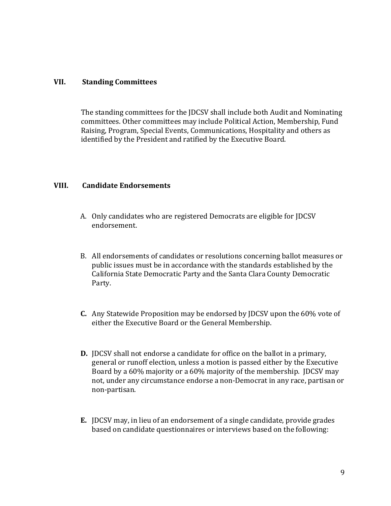# **VII. Standing Committees**

The standing committees for the JDCSV shall include both Audit and Nominating committees. Other committees may include Political Action, Membership, Fund Raising, Program, Special Events, Communications, Hospitality and others as identified by the President and ratified by the Executive Board.

## **VIII. Candidate Endorsements**

- A. Only candidates who are registered Democrats are eligible for JDCSV endorsement.
- B. All endorsements of candidates or resolutions concerning ballot measures or public issues must be in accordance with the standards established by the California State Democratic Party and the Santa Clara County Democratic Party.
- **C.** Any Statewide Proposition may be endorsed by JDCSV upon the 60% vote of either the Executive Board or the General Membership.
- **D.** JDCSV shall not endorse a candidate for office on the ballot in a primary, general or runoff election, unless a motion is passed either by the Executive Board by a 60% majority or a 60% majority of the membership. JDCSV may not, under any circumstance endorse a non-Democrat in any race, partisan or non-partisan.
- **E.** JDCSV may, in lieu of an endorsement of a single candidate, provide grades based on candidate questionnaires or interviews based on the following: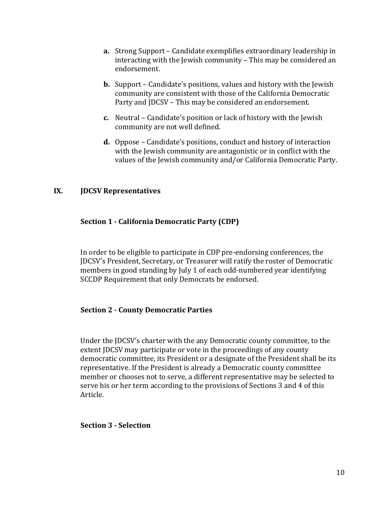- **a.** Strong Support Candidate exemplifies extraordinary leadership in interacting with the Jewish community – This may be considered an endorsement.
- **b.** Support Candidate's positions, values and history with the Jewish community are consistent with those of the California Democratic Party and JDCSV – This may be considered an endorsement.
- **c.** Neutral Candidate's position or lack of history with the Jewish community are not well defined.
- **d.** Oppose Candidate's positions, conduct and history of interaction with the Jewish community are antagonistic or in conflict with the values of the Jewish community and/or California Democratic Party.

# **IX. JDCSV Representatives**

# **Section 1 - California Democratic Party (CDP)**

In order to be eligible to participate in CDP pre-endorsing conferences, the JDCSV's President, Secretary, or Treasurer will ratify the roster of Democratic members in good standing by July 1 of each odd-numbered year identifying SCCDP Requirement that only Democrats be endorsed.

## **Section 2 - County Democratic Parties**

Under the JDCSV's charter with the any Democratic county committee, to the extent JDCSV may participate or vote in the proceedings of any county democratic committee, its President or a designate of the President shall be its representative. If the President is already a Democratic county committee member or chooses not to serve, a different representative may be selected to serve his or her term according to the provisions of Sections 3 and 4 of this Article.

## **Section 3 - Selection**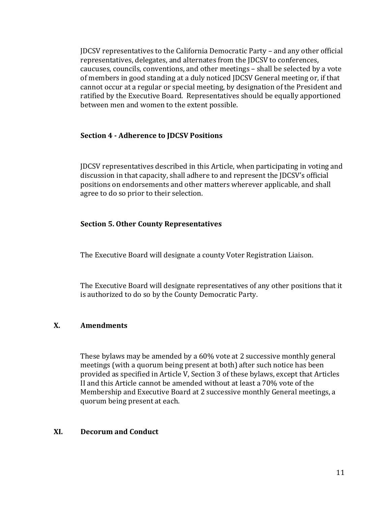JDCSV representatives to the California Democratic Party – and any other official representatives, delegates, and alternates from the JDCSV to conferences, caucuses, councils, conventions, and other meetings – shall be selected by a vote of members in good standing at a duly noticed JDCSV General meeting or, if that cannot occur at a regular or special meeting, by designation of the President and ratified by the Executive Board. Representatives should be equally apportioned between men and women to the extent possible.

# **Section 4 - Adherence to JDCSV Positions**

JDCSV representatives described in this Article, when participating in voting and discussion in that capacity, shall adhere to and represent the JDCSV's official positions on endorsements and other matters wherever applicable, and shall agree to do so prior to their selection.

## **Section 5. Other County Representatives**

The Executive Board will designate a county Voter Registration Liaison.

The Executive Board will designate representatives of any other positions that it is authorized to do so by the County Democratic Party.

# **X. Amendments**

These bylaws may be amended by a 60% vote at 2 successive monthly general meetings (with a quorum being present at both) after such notice has been provided as specified in Article V, Section 3 of these bylaws, except that Articles II and this Article cannot be amended without at least a 70% vote of the Membership and Executive Board at 2 successive monthly General meetings, a quorum being present at each.

## **XI. Decorum and Conduct**